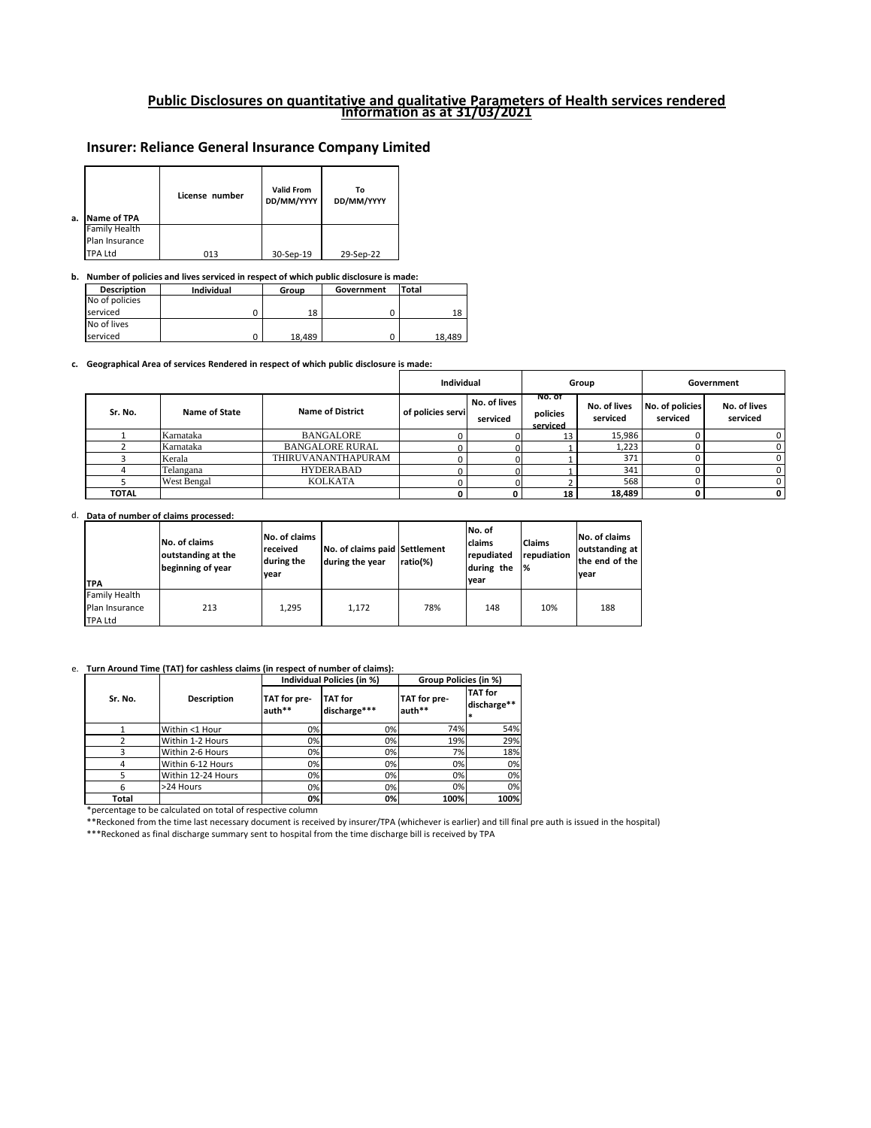## **Public Disclosures on quantitative and qualitative Parameters of Health services rendered Information as at 31/03/2021**

# **Insurer: Reliance General Insurance Company Limited**

#### **b. Number of policies and lives serviced in respect of which public disclosure is made:**

#### **c. Geographical Area of services Rendered in respect of which public disclosure is made:**

\*percentage to be calculated on total of respective column

\*\*Reckoned from the time last necessary document is received by insurer/TPA (whichever is earlier) and till final pre auth is issued in the hospital)

\*\*\*Reckoned as final discharge summary sent to hospital from the time discharge bill is received by TPA

| <b>Description</b> | <b>Individual</b> | Group  | Government | Total  |
|--------------------|-------------------|--------|------------|--------|
| No of policies     |                   |        |            |        |
| <b>I</b> serviced  |                   | 18     |            | 18     |
| No of lives        |                   |        |            |        |
| <b>I</b> serviced  |                   | 18,489 |            | 18,489 |

| a. | Name of TPA          | License number | <b>Valid From</b><br>DD/MM/YYYY | Т٥<br>DD/MM/YYYY |
|----|----------------------|----------------|---------------------------------|------------------|
|    | <b>Family Health</b> |                |                                 |                  |
|    | Plan Insurance       |                |                                 |                  |
|    | <b>TPA Ltd</b>       | 013            | 30-Sep-19                       | 29-Sep-22        |

d. **Data of number of claims processed:**

|              |               | <b>Individual</b>       |                   |                          | Group                          |                          | Government                  |                          |
|--------------|---------------|-------------------------|-------------------|--------------------------|--------------------------------|--------------------------|-----------------------------|--------------------------|
| Sr. No.      | Name of State | <b>Name of District</b> | of policies servi | No. of lives<br>serviced | NO. OT<br>policies<br>serviced | No. of lives<br>serviced | No. of policies<br>serviced | No. of lives<br>serviced |
|              | Karnataka     | <b>BANGALORE</b>        |                   |                          |                                | 15,986                   |                             | 0                        |
|              | Karnataka     | <b>BANGALORE RURAL</b>  |                   |                          |                                | 1,223                    |                             | 0                        |
|              | Kerala        | THIRUVANANTHAPURAM      |                   |                          |                                | 371                      |                             |                          |
|              | Telangana     | <b>HYDERABAD</b>        |                   |                          |                                | 341                      |                             | 0                        |
|              | West Bengal   | <b>KOLKATA</b>          |                   |                          |                                | 568                      |                             | 0                        |
| <b>TOTAL</b> |               |                         |                   |                          | 18                             | 18,489                   |                             | 0                        |

#### e. **Turn Around Time (TAT) for cashless claims (in respect of number of claims):**

| <b>TPA</b>     | <b>No. of claims</b><br>outstanding at the<br>beginning of year | <b>No. of claims</b><br>received<br>during the<br>vear | No. of claims paid Settlement<br>during the year | ratio(%) | INo. of<br><b>Iclaims</b><br>repudiated<br>during the<br>lvear | <b>Claims</b><br>repudiation<br>1% | No. of claims<br>outstanding at<br>the end of the<br><b>vear</b> |
|----------------|-----------------------------------------------------------------|--------------------------------------------------------|--------------------------------------------------|----------|----------------------------------------------------------------|------------------------------------|------------------------------------------------------------------|
| Family Health  |                                                                 |                                                        |                                                  |          |                                                                |                                    |                                                                  |
| Plan Insurance | 213                                                             | 1,295                                                  | 1,172                                            | 78%      | 148                                                            | 10%                                | 188                                                              |
| <b>TPA Ltd</b> |                                                                 |                                                        |                                                  |          |                                                                |                                    |                                                                  |

|              |                    |                        | Individual Policies (in %)     | Group Policies (in %)  |                                    |  |
|--------------|--------------------|------------------------|--------------------------------|------------------------|------------------------------------|--|
| Sr. No.      | <b>Description</b> | TAT for pre-<br>auth** | <b>TAT</b> for<br>discharge*** | TAT for pre-<br>auth** | <b>TAT</b> for<br>discharge**<br>* |  |
|              | Within <1 Hour     | 0%                     | 0%                             | 74%                    | 54%                                |  |
|              | Within 1-2 Hours   | 0%                     | 0%                             | 19%                    | 29%                                |  |
|              | Within 2-6 Hours   | 0%                     | 0%                             | 7%                     | 18%                                |  |
| 4            | Within 6-12 Hours  | 0%                     | 0%                             | 0%l                    | 0%                                 |  |
|              | Within 12-24 Hours | 0%                     | 0%                             | 0%                     | 0%                                 |  |
| 6            | >24 Hours          | 0%                     | 0%                             | 0%                     | 0%                                 |  |
| <b>Total</b> |                    | 0%                     | 0%                             | 100%                   | 100%                               |  |